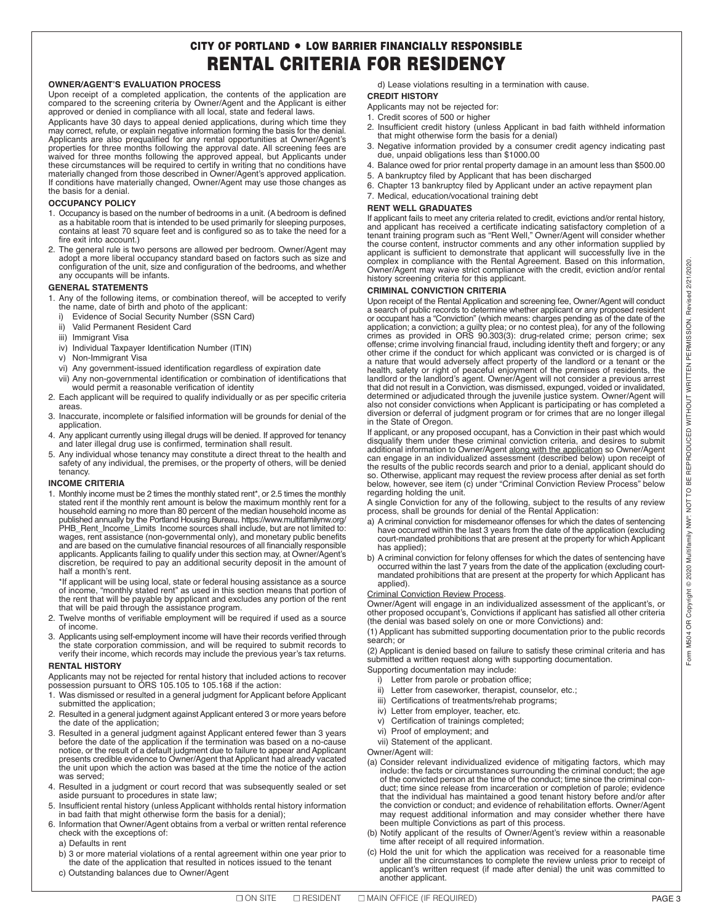## **CITY OF PORTLAND** = **LOW BARRIER FINANCIALLY RESPONSIBLE RENTAL CRITERIA FOR RESIDENCY**

#### **OWNER/AGENT'S EVALUATION PROCESS**

Upon receipt of a completed application, the contents of the application are compared to the screening criteria by Owner/Agent and the Applicant is either approved or denied in compliance with all local, state and federal laws.

Applicants have 30 days to appeal denied applications, during which time they may correct, refute, or explain negative information forming the basis for the denial.<br>Applicants are also prequalified for any rental opportunities at Owner/Agent's<br>properties for three months following the approval date. these circumstances will be required to certify in writing that no conditions have materially changed from those described in Owner/Agent's approved application. If conditions have materially changed, Owner/Agent may use those changes as the basis for a denial.

#### **OCCUPANCY POLICY**

- 1. Occupancy is based on the number of bedrooms in a unit. (A bedroom is defined as a habitable room that is intended to be used primarily for sleeping purposes, contains at least 70 square feet and is configured so as to take the need for a fire exit into account.)
- 2. The general rule is two persons are allowed per bedroom. Owner/Agent may adopt a more liberal occupancy standard based on factors such as size and configuration of the unit, size and configuration of the bedrooms, and whether any occupants will be infants.

#### **GENERAL STATEMENTS**

- 1. Any of the following items, or combination thereof, will be accepted to verify the name, date of birth and photo of the applicant:
	- i) Evidence of Social Security Number (SSN Card)
	- ii) Valid Permanent Resident Card
	- iii) Immigrant Visa
	- iv) Individual Taxpayer Identification Number (ITIN)
	- v) Non-Immigrant Visa
	- vi) Any government-issued identification regardless of expiration date
- vii) Any non-governmental identification or combination of identifications that would permit a reasonable verification of identity
- 2. Each applicant will be required to qualify individually or as per specific criteria areas.
- 3. Inaccurate, incomplete or falsified information will be grounds for denial of the application.
- 4. Any applicant currently using illegal drugs will be denied. If approved for tenancy and later illegal drug use is confirmed, termination shall result.
- 5. Any individual whose tenancy may constitute a direct threat to the health and safety of any individual, the premises, or the property of others, will be denied tenancy.

#### **INCOME CRITERIA**

1. Monthly income must be 2 times the monthly stated rent\*, or 2.5 times the monthly stated rent if the monthly rent amount is below the maximum monthly rent for a household earning no more than 80 percent of the median household income as published annually by the Portland Housing Bureau. https://www.multifamilynw.org/ PHB\_Rent\_Income\_Limits Income sources shall include, but are not limited to: wages, rent assistance (non-governmental only), and monetary public benefits and are based on the cumulative financial resources of all financially responsible<br>applicants. Applicants failing to qualify under this section may, at Owner/Agent's<br>discretion, be required to pay an additional security de half a month's rent.

 \*If applicant will be using local, state or federal housing assistance as a source of income, "monthly stated rent" as used in this section means that portion of the rent that will be payable by applicant and excludes any portion of the rent that will be paid through the assistance program.

- 2. Twelve months of verifiable employment will be required if used as a source of income.
- 3. Applicants using self-employment income will have their records verified through the state corporation commission, and will be required to submit records to verify their income, which records may include the previous year's tax returns.

#### **RENTAL HISTORY**

Applicants may not be rejected for rental history that included actions to recover possession pursuant to ORS 105.105 to 105.168 if the action:

- 1. Was dismissed or resulted in a general judgment for Applicant before Applicant submitted the application;
- 2. Resulted in a general judgment against Applicant entered 3 or more years before the date of the application;
- 3. Resulted in a general judgment against Applicant entered fewer than 3 years before the date of the application if the termination was based on a no-cause notice, or the result of a default judgment due to failure to appear and Applicant presents credible evidence to Owner/Agent that Applicant had already vacated the unit upon which the action was based at the time the notice of the action was served;
- 4. Resulted in a judgment or court record that was subsequently sealed or set aside pursuant to procedures in state law;
- 5. Insufficient rental history (unless Applicant withholds rental history information in bad faith that might otherwise form the basis for a denial);
- 6. Information that Owner/Agent obtains from a verbal or written rental reference check with the exceptions of:
	- a) Defaults in rent
	- b) 3 or more material violations of a rental agreement within one year prior to the date of the application that resulted in notices issued to the tenant
	- c) Outstanding balances due to Owner/Agent

d) Lease violations resulting in a termination with cause.

## **CREDIT HISTORY**

- Applicants may not be rejected for:
- 1. Credit scores of 500 or higher
- 2. Insufficient credit history (unless Applicant in bad faith withheld information that might otherwise form the basis for a denial)
- 3. Negative information provided by a consumer credit agency indicating past due, unpaid obligations less than \$1000.00
- 4. Balance owed for prior rental property damage in an amount less than \$500.00 5. A bankruptcy filed by Applicant that has been discharged
- 6. Chapter 13 bankruptcy filed by Applicant under an active repayment plan
- 7. Medical, education/vocational training debt

## **RENT WELL GRADUATES**

If applicant fails to meet any criteria related to credit, evictions and/or rental history, and applicant has received a certificate indicating satisfactory completion of a tenant training program such as "Rent Well," Owner/Agent will consider whether the course content, instructor comments and any other information supplied by<br>applicant is sufficient to demonstrate that applicant will successfully live in the<br>complex in compliance with the Rental Agreement. Based on th Owner/Agent may waive strict compliance with the credit, eviction and/or rental history screening criteria for this applicant.

#### **CRIMINAL CONVICTION CRITERIA**

Upon receipt of the Rental Application and screening fee, Owner/Agent will conduct a search of public records to determine whether applicant or any proposed resident or occupant has a "Conviction" (which means: charges pending as of the date of the<br>application; a conviction; a guilty plea; or no contest plea), for any of the following<br>crimes as provided in ORS 90.303(3): drug-rel offense; crime involving financial fraud, including identity theft and forgery; or any other crime if the conduct for which applicant was convicted or is charged is of a nature that would adversely affect property of the landlord or a tenant or the<br>health, safety or right of peaceful enjoyment of the premises of residents, the<br>landlord or the landlord's agent. Owner/Agent will not consid that did not result in a Conviction, was dismissed, expunged, voided or invalidated, determined or adjudicated through the juvenile justice system. Owner/Agent will also not consider convictions when Applicant is participating or has completed a diversion or deferral of judgment program or for crimes that are no longer illegal in the State of Oregon.

If applicant, or any proposed occupant, has a Conviction in their past which would disqualify them under these criminal conviction criteria, and desires to submit additional information to Owner/Agent along with the application so Owner/Agent can engage in an individualized assessment (described below) upon receipt of the results of the public records search and prior to a denial, applicant should do so. Otherwise, applicant may request the review process after denial as set forth below, however, see item (c) under "Criminal Conviction Review Process" below regarding holding the unit.

A single Conviction for any of the following, subject to the results of any review process, shall be grounds for denial of the Rental Application:

- a) A criminal conviction for misdemeanor offenses for which the dates of sentencing have occurred within the last 3 years from the date of the application (excluding court-mandated prohibitions that are present at the property for which Applicant has applied);
- b) A criminal conviction for felony offenses for which the dates of sentencing have<br>occurred within the last 7 years from the date of the application (excluding court-<br>mandated prohibitions that are present at the property applied).

#### Criminal Conviction Review Process.

Owner/Agent will engage in an individualized assessment of the applicant's, or other proposed occupant's, Convictions if applicant has satisfied all other criteria (the denial was based solely on one or more Convictions) and:

(1) Applicant has submitted supporting documentation prior to the public records search; or

(2) Applicant is denied based on failure to satisfy these criminal criteria and has submitted a written request along with supporting documentation.

- Supporting documentation may include:
	- i) Letter from parole or probation office;
	- ii) Letter from caseworker, therapist, counselor, etc.;
	- iii) Certifications of treatments/rehab programs;
	- iv) Letter from employer, teacher, etc.
	- v) Certification of trainings completed;
	- vi) Proof of employment; and
	- vii) Statement of the applicant.

Owner/Agent will:

- (a) Consider relevant individualized evidence of mitigating factors, which may include: the facts or circumstances surrounding the criminal conduct; the age<br>of the convicted person at the time of the conduct; time since the criminal con-<br>duct; time since release from incarceration or completion of pa that the individual has maintained a good tenant history before and/or after the conviction or conduct; and evidence of rehabilitation efforts. Owner/Agent may request additional information and may consider whether there have been multiple Convictions as part of this process.
- (b) Notify applicant of the results of Owner/Agent's review within a reasonable time after receipt of all required information.
- (c) Hold the unit for which the application was received for a reasonable time under all the circumstances to complete the review unless prior to receipt of applicant's written request (if made after denial) the unit was committed to another applicant.